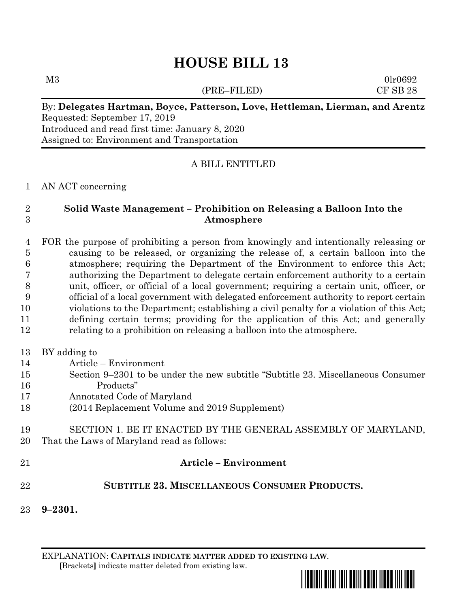# **HOUSE BILL 13**

(PRE–FILED) CF SB 28

 $M3$  0lr0692

#### By: **Delegates Hartman, Boyce, Patterson, Love, Hettleman, Lierman, and Arentz** Requested: September 17, 2019 Introduced and read first time: January 8, 2020 Assigned to: Environment and Transportation

# A BILL ENTITLED

#### AN ACT concerning

# **Solid Waste Management – Prohibition on Releasing a Balloon Into the Atmosphere**

 FOR the purpose of prohibiting a person from knowingly and intentionally releasing or causing to be released, or organizing the release of, a certain balloon into the atmosphere; requiring the Department of the Environment to enforce this Act; authorizing the Department to delegate certain enforcement authority to a certain unit, officer, or official of a local government; requiring a certain unit, officer, or official of a local government with delegated enforcement authority to report certain violations to the Department; establishing a civil penalty for a violation of this Act; defining certain terms; providing for the application of this Act; and generally relating to a prohibition on releasing a balloon into the atmosphere.

- BY adding to
- Article Environment
- Section 9–2301 to be under the new subtitle "Subtitle 23. Miscellaneous Consumer Products"
- Annotated Code of Maryland
- (2014 Replacement Volume and 2019 Supplement)
- SECTION 1. BE IT ENACTED BY THE GENERAL ASSEMBLY OF MARYLAND, That the Laws of Maryland read as follows:
- **Article – Environment**

# **SUBTITLE 23. MISCELLANEOUS CONSUMER PRODUCTS.**

**9–2301.**

EXPLANATION: **CAPITALS INDICATE MATTER ADDED TO EXISTING LAW**.  **[**Brackets**]** indicate matter deleted from existing law.

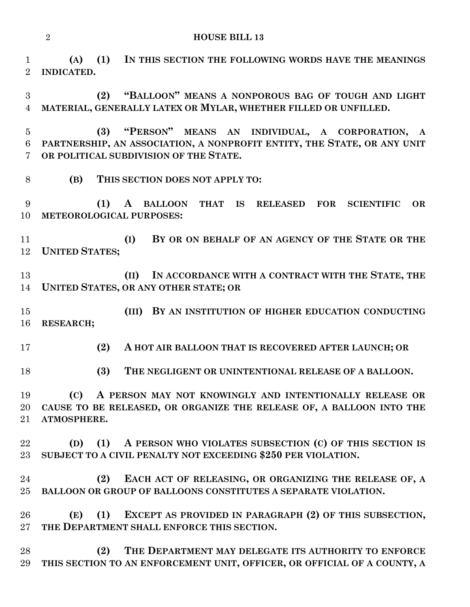**(A) (1) IN THIS SECTION THE FOLLOWING WORDS HAVE THE MEANINGS INDICATED.**

 **(2) "BALLOON" MEANS A NONPOROUS BAG OF TOUGH AND LIGHT MATERIAL, GENERALLY LATEX OR MYLAR, WHETHER FILLED OR UNFILLED.**

 **(3) "PERSON" MEANS AN INDIVIDUAL, A CORPORATION, A PARTNERSHIP, AN ASSOCIATION, A NONPROFIT ENTITY, THE STATE, OR ANY UNIT OR POLITICAL SUBDIVISION OF THE STATE.**

**(B) THIS SECTION DOES NOT APPLY TO:**

 **(1) A BALLOON THAT IS RELEASED FOR SCIENTIFIC OR METEOROLOGICAL PURPOSES:**

 **(I) BY OR ON BEHALF OF AN AGENCY OF THE STATE OR THE UNITED STATES;**

 **(II) IN ACCORDANCE WITH A CONTRACT WITH THE STATE, THE UNITED STATES, OR ANY OTHER STATE; OR**

 **(III) BY AN INSTITUTION OF HIGHER EDUCATION CONDUCTING RESEARCH;**

**(2) A HOT AIR BALLOON THAT IS RECOVERED AFTER LAUNCH; OR**

**(3) THE NEGLIGENT OR UNINTENTIONAL RELEASE OF A BALLOON.**

 **(C) A PERSON MAY NOT KNOWINGLY AND INTENTIONALLY RELEASE OR CAUSE TO BE RELEASED, OR ORGANIZE THE RELEASE OF, A BALLOON INTO THE ATMOSPHERE.**

 **(D) (1) A PERSON WHO VIOLATES SUBSECTION (C) OF THIS SECTION IS SUBJECT TO A CIVIL PENALTY NOT EXCEEDING \$250 PER VIOLATION.**

 **(2) EACH ACT OF RELEASING, OR ORGANIZING THE RELEASE OF, A BALLOON OR GROUP OF BALLOONS CONSTITUTES A SEPARATE VIOLATION.**

 **(E) (1) EXCEPT AS PROVIDED IN PARAGRAPH (2) OF THIS SUBSECTION, THE DEPARTMENT SHALL ENFORCE THIS SECTION.**

 **(2) THE DEPARTMENT MAY DELEGATE ITS AUTHORITY TO ENFORCE THIS SECTION TO AN ENFORCEMENT UNIT, OFFICER, OR OFFICIAL OF A COUNTY, A**